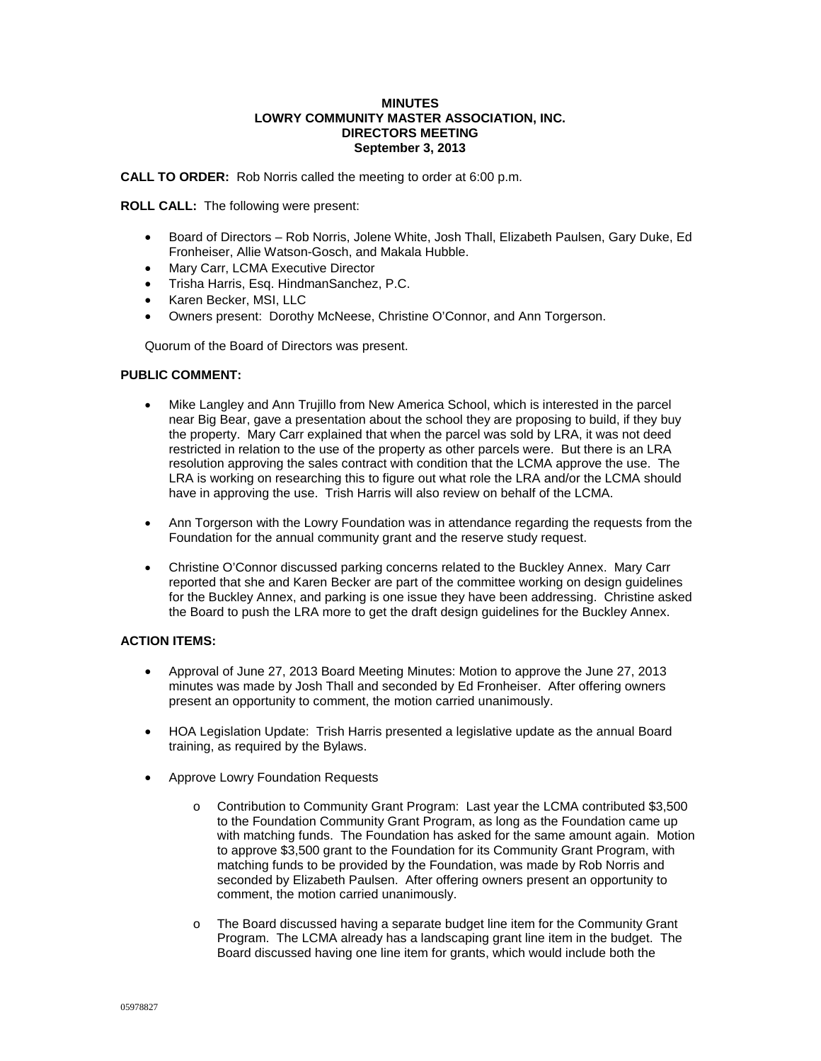### **MINUTES LOWRY COMMUNITY MASTER ASSOCIATION, INC. DIRECTORS MEETING September 3, 2013**

**CALL TO ORDER:** Rob Norris called the meeting to order at 6:00 p.m.

**ROLL CALL:** The following were present:

- Board of Directors Rob Norris, Jolene White, Josh Thall, Elizabeth Paulsen, Gary Duke, Ed Fronheiser, Allie Watson-Gosch, and Makala Hubble.
- Mary Carr, LCMA Executive Director
- Trisha Harris, Esq. HindmanSanchez, P.C.
- Karen Becker, MSI, LLC
- Owners present: Dorothy McNeese, Christine O'Connor, and Ann Torgerson.

Quorum of the Board of Directors was present.

### **PUBLIC COMMENT:**

- Mike Langley and Ann Trujillo from New America School, which is interested in the parcel near Big Bear, gave a presentation about the school they are proposing to build, if they buy the property. Mary Carr explained that when the parcel was sold by LRA, it was not deed restricted in relation to the use of the property as other parcels were. But there is an LRA resolution approving the sales contract with condition that the LCMA approve the use. The LRA is working on researching this to figure out what role the LRA and/or the LCMA should have in approving the use. Trish Harris will also review on behalf of the LCMA.
- Ann Torgerson with the Lowry Foundation was in attendance regarding the requests from the Foundation for the annual community grant and the reserve study request.
- Christine O'Connor discussed parking concerns related to the Buckley Annex. Mary Carr reported that she and Karen Becker are part of the committee working on design guidelines for the Buckley Annex, and parking is one issue they have been addressing. Christine asked the Board to push the LRA more to get the draft design guidelines for the Buckley Annex.

### **ACTION ITEMS:**

- Approval of June 27, 2013 Board Meeting Minutes: Motion to approve the June 27, 2013 minutes was made by Josh Thall and seconded by Ed Fronheiser. After offering owners present an opportunity to comment, the motion carried unanimously.
- HOA Legislation Update: Trish Harris presented a legislative update as the annual Board training, as required by the Bylaws.
- Approve Lowry Foundation Requests
	- o Contribution to Community Grant Program: Last year the LCMA contributed \$3,500 to the Foundation Community Grant Program, as long as the Foundation came up with matching funds. The Foundation has asked for the same amount again. Motion to approve \$3,500 grant to the Foundation for its Community Grant Program, with matching funds to be provided by the Foundation, was made by Rob Norris and seconded by Elizabeth Paulsen. After offering owners present an opportunity to comment, the motion carried unanimously.
	- o The Board discussed having a separate budget line item for the Community Grant Program. The LCMA already has a landscaping grant line item in the budget. The Board discussed having one line item for grants, which would include both the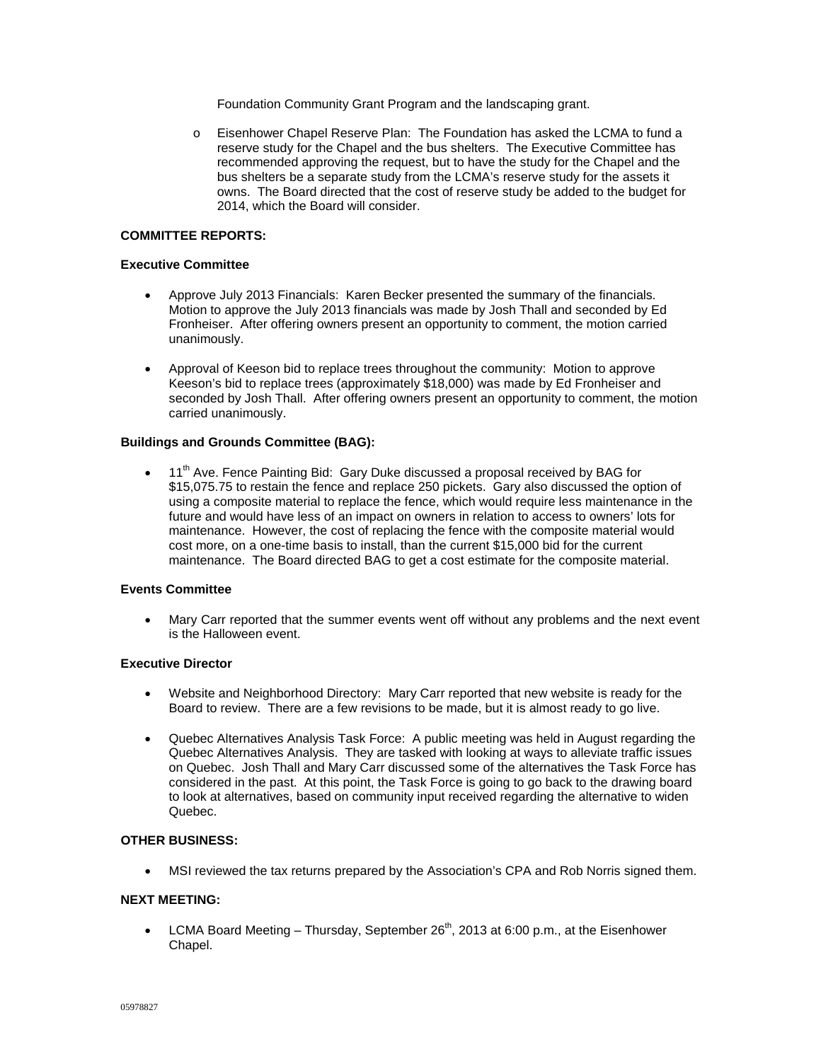Foundation Community Grant Program and the landscaping grant.

o Eisenhower Chapel Reserve Plan: The Foundation has asked the LCMA to fund a reserve study for the Chapel and the bus shelters. The Executive Committee has recommended approving the request, but to have the study for the Chapel and the bus shelters be a separate study from the LCMA's reserve study for the assets it owns. The Board directed that the cost of reserve study be added to the budget for 2014, which the Board will consider.

### **COMMITTEE REPORTS:**

### **Executive Committee**

- Approve July 2013 Financials: Karen Becker presented the summary of the financials. Motion to approve the July 2013 financials was made by Josh Thall and seconded by Ed Fronheiser. After offering owners present an opportunity to comment, the motion carried unanimously.
- Approval of Keeson bid to replace trees throughout the community: Motion to approve Keeson's bid to replace trees (approximately \$18,000) was made by Ed Fronheiser and seconded by Josh Thall. After offering owners present an opportunity to comment, the motion carried unanimously.

## **Buildings and Grounds Committee (BAG):**

 $\bullet$  11<sup>th</sup> Ave. Fence Painting Bid: Gary Duke discussed a proposal received by BAG for \$15,075.75 to restain the fence and replace 250 pickets. Gary also discussed the option of using a composite material to replace the fence, which would require less maintenance in the future and would have less of an impact on owners in relation to access to owners' lots for maintenance. However, the cost of replacing the fence with the composite material would cost more, on a one-time basis to install, than the current \$15,000 bid for the current maintenance. The Board directed BAG to get a cost estimate for the composite material.

# **Events Committee**

• Mary Carr reported that the summer events went off without any problems and the next event is the Halloween event.

# **Executive Director**

- Website and Neighborhood Directory: Mary Carr reported that new website is ready for the Board to review. There are a few revisions to be made, but it is almost ready to go live.
- Quebec Alternatives Analysis Task Force: A public meeting was held in August regarding the Quebec Alternatives Analysis. They are tasked with looking at ways to alleviate traffic issues on Quebec. Josh Thall and Mary Carr discussed some of the alternatives the Task Force has considered in the past. At this point, the Task Force is going to go back to the drawing board to look at alternatives, based on community input received regarding the alternative to widen Quebec.

## **OTHER BUSINESS:**

• MSI reviewed the tax returns prepared by the Association's CPA and Rob Norris signed them.

## **NEXT MEETING:**

• LCMA Board Meeting – Thursday, September  $26<sup>th</sup>$ , 2013 at 6:00 p.m., at the Eisenhower Chapel.